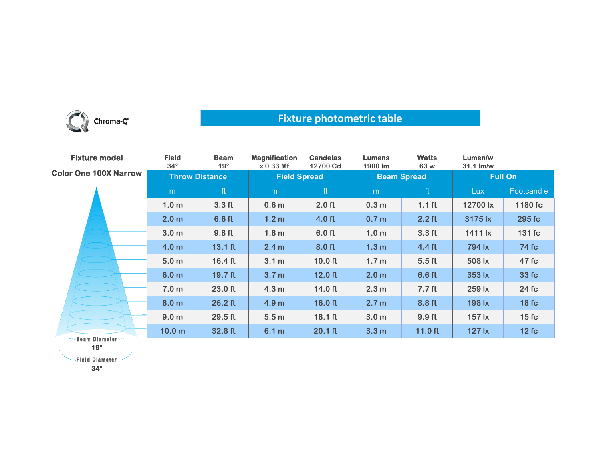

## **Fixture photometric table**

| <b>Fixture model</b>         | <b>Field</b><br>$34^\circ$ | <b>Beam</b><br>$19^\circ$ | <b>Magnification</b><br>x 0.33 Mf | <b>Candelas</b><br>12700 Cd | <b>Lumens</b><br>1900 lm | <b>Watts</b><br>63 w | Lumen/w<br>$31.1$ $\text{Im/w}$ |              |
|------------------------------|----------------------------|---------------------------|-----------------------------------|-----------------------------|--------------------------|----------------------|---------------------------------|--------------|
| <b>Color One 100X Narrow</b> | <b>Throw Distance</b>      |                           | <b>Field Spread</b>               |                             | <b>Beam Spread</b>       |                      | <b>Full On</b>                  |              |
|                              | m                          | ft                        | m                                 | ft                          | m                        | ft                   | Lux.                            | Footcandle   |
|                              | 1.0 <sub>m</sub>           | 3.3 <sub>ft</sub>         | 0.6 <sub>m</sub>                  | 2.0 <sub>ft</sub>           | 0.3 <sub>m</sub>         | 1.1 <sub>ft</sub>    | 12700 lx                        | 1180 fc      |
|                              | 2.0 <sub>m</sub>           | $6.6$ ft                  | 1.2 <sub>m</sub>                  | $4.0$ ft                    | 0.7 <sub>m</sub>         | $2.2$ ft             | 3175 lx                         | 295 fc       |
|                              | 3.0 <sub>m</sub>           | 9.8 <sub>ft</sub>         | 1.8 <sub>m</sub>                  | 6.0 <sub>ft</sub>           | 1.0 <sub>m</sub>         | 3.3 <sub>ft</sub>    | 1411 lx                         | 131 fc       |
|                              | 4.0 <sub>m</sub>           | $13.1$ ft                 | 2.4 m                             | 8.0 ft                      | 1.3 <sub>m</sub>         | 4.4 <sub>ft</sub>    | 794 lx                          | <b>74 fc</b> |
|                              | 5.0 <sub>m</sub>           | $16.4 \text{ ft}$         | 3.1 m                             | $10.0$ ft                   | 1.7 <sub>m</sub>         | 5.5 <sub>ft</sub>    | 508 lx                          | 47 fc        |
|                              | 6.0 <sub>m</sub>           | $19.7$ ft                 | 3.7 <sub>m</sub>                  | $12.0$ ft                   | 2.0 <sub>m</sub>         | 6.6 ft               | 353 lx                          | 33 fc        |
|                              | 7.0 <sub>m</sub>           | 23.0 ft                   | 4.3 <sub>m</sub>                  | $14.0$ ft                   | 2.3 <sub>m</sub>         | 7.7 <sub>ft</sub>    | 259 lx                          | 24 fc        |
|                              | 8.0 <sub>m</sub>           | $26.2$ ft                 | 4.9 <sub>m</sub>                  | $16.0$ ft                   | 2.7 <sub>m</sub>         | 8.8 ft               | 198 lx                          | 18fc         |
|                              | 9.0 <sub>m</sub>           | 29.5 ft                   | 5.5 <sub>m</sub>                  | $18.1$ ft                   | 3.0 <sub>m</sub>         | 9.9 <sub>ft</sub>    | 157 lx                          | 15fc         |
| Boom Blomada                 | 10.0 <sub>m</sub>          | 32.8 ft                   | 6.1 m                             | $20.1$ ft                   | 3.3 <sub>m</sub>         | $11.0$ ft            | <b>127 lx</b>                   | 12fc         |

\*\*\*Beam Diameter\*\*\* **19°**

**34°**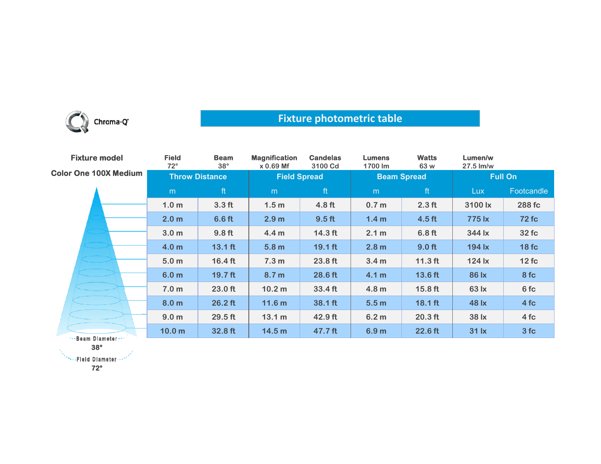

## **Fixture photometric table**

| <b>Fixture model</b>         | <b>Field</b><br>$72^\circ$ | <b>Beam</b><br>$38^\circ$ | <b>Magnification</b><br>x 0.69 Mf | <b>Candelas</b><br>3100 Cd | <b>Lumens</b><br>1700 lm | <b>Watts</b><br>63 w | Lumen/w<br>$27.5$ $\text{Im/w}$                        |              |
|------------------------------|----------------------------|---------------------------|-----------------------------------|----------------------------|--------------------------|----------------------|--------------------------------------------------------|--------------|
| <b>Color One 100X Medium</b> | <b>Throw Distance</b>      |                           | <b>Field Spread</b>               |                            | <b>Beam Spread</b>       |                      | <b>Full On</b>                                         |              |
|                              | m                          | ft                        | m                                 | ft                         | m                        | ft                   | <b>Lux</b>                                             | Footcandle   |
|                              | 1.0 <sub>m</sub>           | 3.3 <sub>ft</sub>         | 1.5 <sub>m</sub>                  | 4.8 <sub>ft</sub>          | 0.7 <sub>m</sub>         | 2.3 <sub>ft</sub>    | 3100 lx                                                | 288 fc       |
|                              | 2.0 <sub>m</sub>           | 6.6 <sub>ft</sub>         | 2.9 <sub>m</sub>                  | 9.5 <sub>ft</sub>          | 1.4 <sub>m</sub>         | 4.5 <sub>ft</sub>    | 775 lx                                                 | <b>72 fc</b> |
|                              | 3.0 <sub>m</sub>           | 9.8 <sub>ft</sub>         | 4.4 <sub>m</sub>                  | $14.3$ ft                  | 2.1 m                    | 6.8 <sub>ft</sub>    | 344 lx                                                 | 32 fc        |
|                              | 4.0 <sub>m</sub>           | $13.1$ ft                 | 5.8 <sub>m</sub>                  | $19.1$ ft                  | 2.8 <sub>m</sub>         | 9.0 <sub>ft</sub>    | 194 lx                                                 | 18fc         |
|                              | 5.0 <sub>m</sub>           | $16.4 \text{ ft}$         | 7.3 m                             | $23.8$ ft                  | 3.4 <sub>m</sub>         | $11.3$ ft            | 124 lx                                                 | 12fc         |
|                              | 6.0 <sub>m</sub>           | 19.7 ft                   | 8.7 <sub>m</sub>                  | 28.6 ft                    | 4.1 <sub>m</sub>         | 13.6 ft              | 86 lx                                                  | 8 fc         |
|                              | 7.0 <sub>m</sub>           | $23.0$ ft                 | 10.2 <sub>m</sub>                 | 33.4 ft                    | 4.8 <sub>m</sub>         | $15.8$ ft            | 63 lx                                                  | 6 fc         |
|                              | 8.0 <sub>m</sub>           | $26.2$ ft                 | 11.6 <sub>m</sub>                 | 38.1 ft                    | 5.5 <sub>m</sub>         | $18.1$ ft            | 48 lx                                                  | 4fc          |
|                              | 9.0 <sub>m</sub>           | $29.5$ ft                 | 13.1 m                            | $42.9$ ft                  | 6.2 <sub>m</sub>         | $20.3$ ft            | 38 lx                                                  | 4fc          |
| ***Beam Diameter ***         | 10.0 <sub>m</sub>          | 32.8 ft                   | 14.5 <sub>m</sub>                 | 47.7 ft                    | 6.9 <sub>m</sub>         | 22.6 ft              | $31$ $\overline{\phantom{1}}$ $\overline{\phantom{1}}$ | 3fc          |

**38°**

\*\*\*\*\*Fleid Diameter ...\*

**72°**